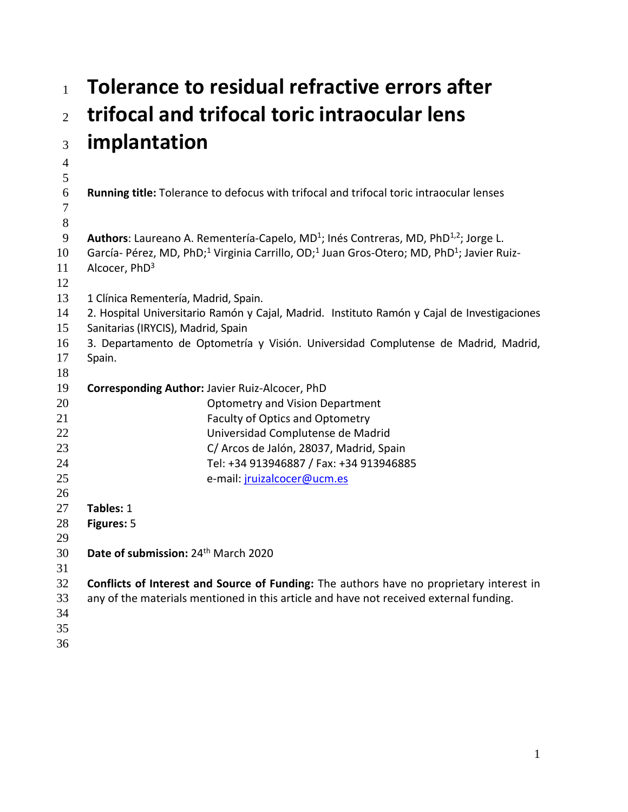# **Tolerance to residual refractive errors after trifocal and trifocal toric intraocular lens implantation**

 **Running title:** Tolerance to defocus with trifocal and trifocal toric intraocular lenses 9 **Authors**: Laureano A. Rementería-Capelo, MD<sup>1</sup>; Inés Contreras, MD, PhD<sup>1,2</sup>; Jorge L. 10 García- Pérez, MD, PhD;<sup>1</sup> Virginia Carrillo, OD;<sup>1</sup> Juan Gros-Otero; MD, PhD<sup>1</sup>; Javier Ruiz-11 Alcocer,  $PhD<sup>3</sup>$  13 1 Clínica Rementería, Madrid, Spain. 2. Hospital Universitario Ramón y Cajal, Madrid. Instituto Ramón y Cajal de Investigaciones Sanitarias (IRYCIS), Madrid, Spain 3. Departamento de Optometría y Visión. Universidad Complutense de Madrid, Madrid, Spain. **Corresponding Author:** Javier Ruiz-Alcocer, PhD Optometry and Vision Department Faculty of Optics and Optometry Universidad Complutense de Madrid C/ Arcos de Jalón, 28037, Madrid, Spain Tel: +34 913946887 / Fax: +34 913946885 e-mail: [jruizalcocer@ucm.es](mailto:jruizalcocer@ucm.es) **Tables:** 1 **Figures:** 5 30 **Date of submission:** 24<sup>th</sup> March 2020 **Conflicts of Interest and Source of Funding:** The authors have no proprietary interest in any of the materials mentioned in this article and have not received external funding.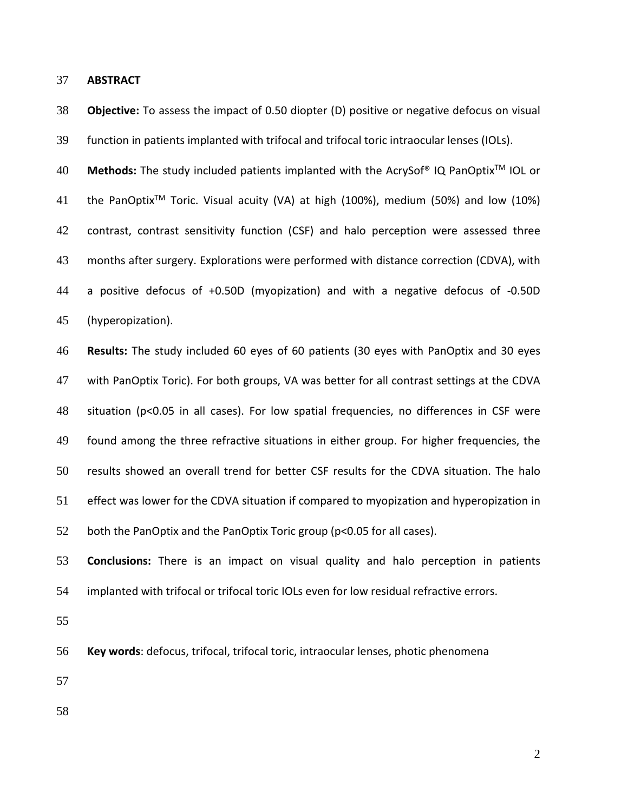**ABSTRACT**

 **Objective:** To assess the impact of 0.50 diopter (D) positive or negative defocus on visual function in patients implanted with trifocal and trifocal toric intraocular lenses (IOLs). **Methods:** The study included patients implanted with the AcrySof® IQ PanOptixTM IOL or 41 the PanOptix<sup>TM</sup> Toric. Visual acuity (VA) at high (100%), medium (50%) and low (10%) contrast, contrast sensitivity function (CSF) and halo perception were assessed three months after surgery. Explorations were performed with distance correction (CDVA), with a positive defocus of +0.50D (myopization) and with a negative defocus of -0.50D (hyperopization). **Results:** The study included 60 eyes of 60 patients (30 eyes with PanOptix and 30 eyes with PanOptix Toric). For both groups, VA was better for all contrast settings at the CDVA situation (p<0.05 in all cases). For low spatial frequencies, no differences in CSF were found among the three refractive situations in either group. For higher frequencies, the results showed an overall trend for better CSF results for the CDVA situation. The halo effect was lower for the CDVA situation if compared to myopization and hyperopization in both the PanOptix and the PanOptix Toric group (p<0.05 for all cases). **Conclusions:** There is an impact on visual quality and halo perception in patients implanted with trifocal or trifocal toric IOLs even for low residual refractive errors. **Key words**: defocus, trifocal, trifocal toric, intraocular lenses, photic phenomena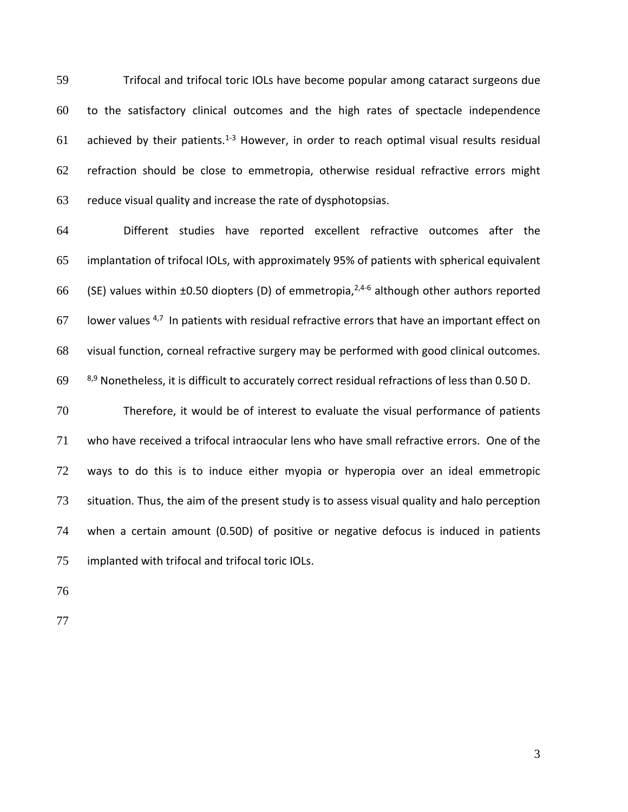Trifocal and trifocal toric IOLs have become popular among cataract surgeons due to the satisfactory clinical outcomes and the high rates of spectacle independence 61 achieved by their patients.<sup>1-3</sup> However, in order to reach optimal visual results residual refraction should be close to emmetropia, otherwise residual refractive errors might reduce visual quality and increase the rate of dysphotopsias.

 Different studies have reported excellent refractive outcomes after the implantation of trifocal IOLs, with approximately 95% of patients with spherical equivalent 66 (SE) values within  $\pm 0.50$  diopters (D) of emmetropia,  $2,4-6$  although other authors reported 67 Iower values  $4,7$  In patients with residual refractive errors that have an important effect on visual function, corneal refractive surgery may be performed with good clinical outcomes.  $8,9$  Nonetheless, it is difficult to accurately correct residual refractions of less than 0.50 D.

 Therefore, it would be of interest to evaluate the visual performance of patients who have received a trifocal intraocular lens who have small refractive errors. One of the ways to do this is to induce either myopia or hyperopia over an ideal emmetropic situation. Thus, the aim of the present study is to assess visual quality and halo perception when a certain amount (0.50D) of positive or negative defocus is induced in patients implanted with trifocal and trifocal toric IOLs.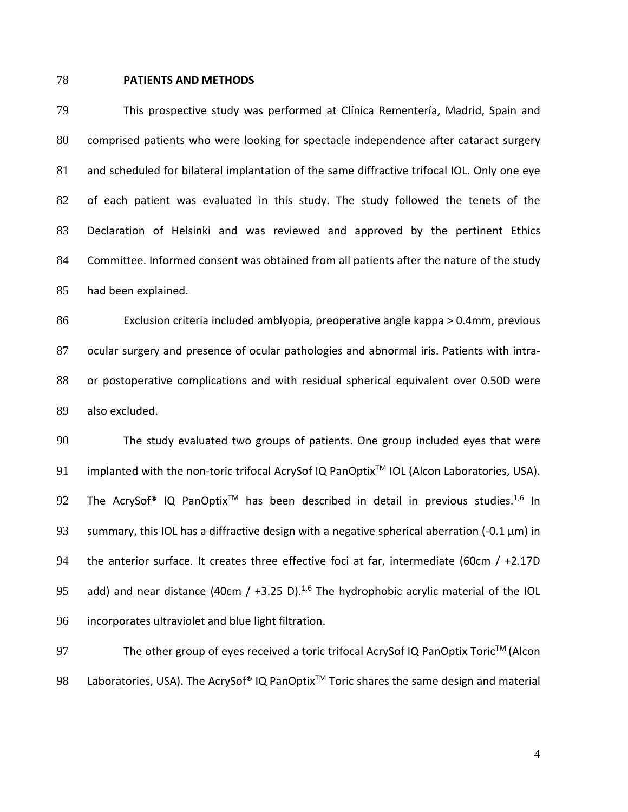#### **PATIENTS AND METHODS**

 This prospective study was performed at Clínica Rementería, Madrid, Spain and comprised patients who were looking for spectacle independence after cataract surgery and scheduled for bilateral implantation of the same diffractive trifocal IOL. Only one eye of each patient was evaluated in this study. The study followed the tenets of the Declaration of Helsinki and was reviewed and approved by the pertinent Ethics Committee. Informed consent was obtained from all patients after the nature of the study had been explained.

 Exclusion criteria included amblyopia, preoperative angle kappa > 0.4mm, previous ocular surgery and presence of ocular pathologies and abnormal iris. Patients with intra- or postoperative complications and with residual spherical equivalent over 0.50D were also excluded.

 The study evaluated two groups of patients. One group included eyes that were 91 implanted with the non-toric trifocal AcrySof IQ PanOptix<sup>™</sup> IOL (Alcon Laboratories, USA). 92 The AcrySof<sup>®</sup> IQ PanOptix<sup>™</sup> has been described in detail in previous studies.<sup>1,6</sup> In 93 summary, this IOL has a diffractive design with a negative spherical aberration (-0.1  $\mu$ m) in 94 the anterior surface. It creates three effective foci at far, intermediate (60cm / +2.17D 95 add) and near distance (40cm /  $+3.25$  D).<sup>1,6</sup> The hydrophobic acrylic material of the IOL incorporates ultraviolet and blue light filtration.

97 The other group of eyes received a toric trifocal AcrySof IQ PanOptix Toric<sup>™</sup> (Alcon 98 Laboratories, USA). The AcrySof® IQ PanOptix<sup>™</sup> Toric shares the same design and material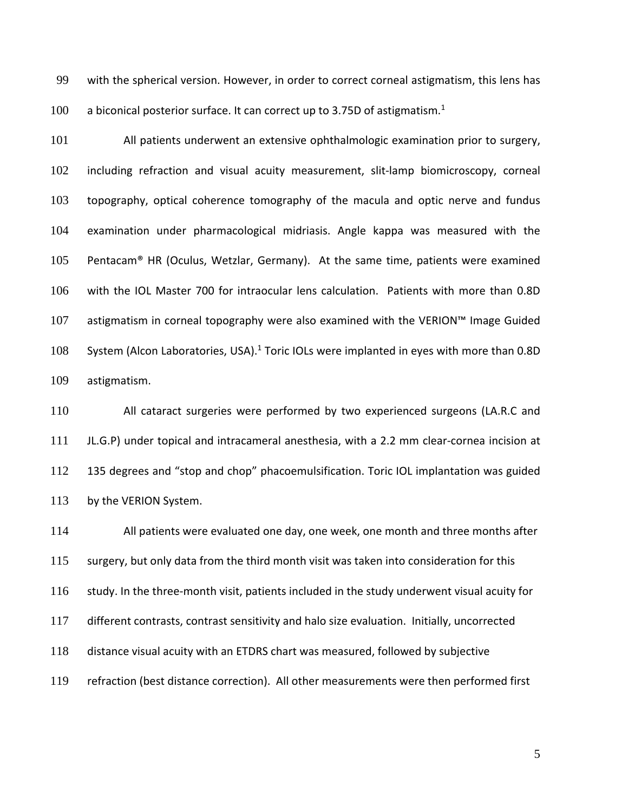with the spherical version. However, in order to correct corneal astigmatism, this lens has 100 a biconical posterior surface. It can correct up to 3.75D of astigmatism.<sup>1</sup>

 All patients underwent an extensive ophthalmologic examination prior to surgery, including refraction and visual acuity measurement, slit-lamp biomicroscopy, corneal topography, optical coherence tomography of the macula and optic nerve and fundus examination under pharmacological midriasis. Angle kappa was measured with the Pentacam® HR (Oculus, Wetzlar, Germany). At the same time, patients were examined with the IOL Master 700 for intraocular lens calculation. Patients with more than 0.8D astigmatism in corneal topography were also examined with the VERION™ Image Guided 108 System (Alcon Laboratories, USA).<sup>1</sup> Toric IOLs were implanted in eyes with more than 0.8D astigmatism.

 All cataract surgeries were performed by two experienced surgeons (LA.R.C and JL.G.P) under topical and intracameral anesthesia, with a 2.2 mm clear-cornea incision at 135 degrees and "stop and chop" phacoemulsification. Toric IOL implantation was guided 113 by the VERION System.

 All patients were evaluated one day, one week, one month and three months after 115 surgery, but only data from the third month visit was taken into consideration for this study. In the three-month visit, patients included in the study underwent visual acuity for different contrasts, contrast sensitivity and halo size evaluation. Initially, uncorrected distance visual acuity with an ETDRS chart was measured, followed by subjective refraction (best distance correction). All other measurements were then performed first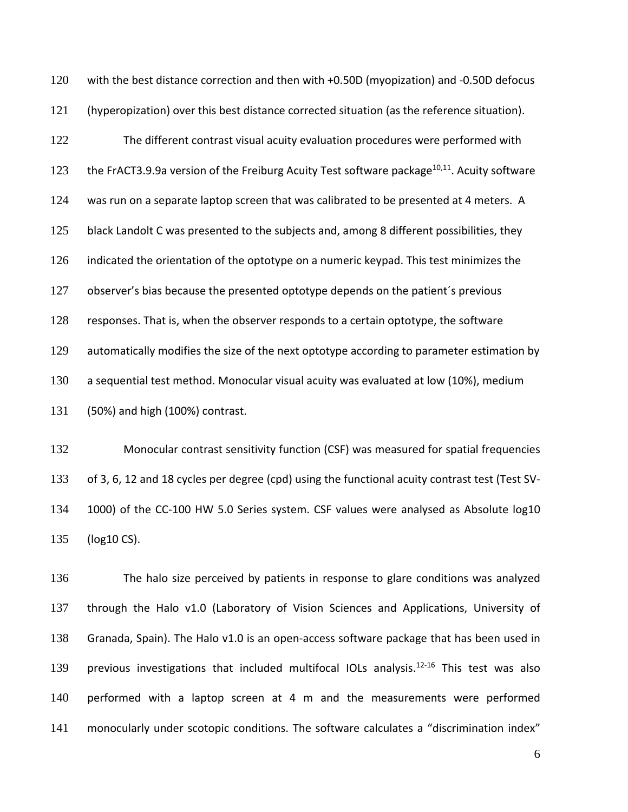with the best distance correction and then with +0.50D (myopization) and -0.50D defocus (hyperopization) over this best distance corrected situation (as the reference situation). The different contrast visual acuity evaluation procedures were performed with 123 the FrACT3.9.9a version of the Freiburg Acuity Test software package<sup>10,11</sup>. Acuity software was run on a separate laptop screen that was calibrated to be presented at 4 meters. A 125 black Landolt C was presented to the subjects and, among 8 different possibilities, they indicated the orientation of the optotype on a numeric keypad. This test minimizes the observer's bias because the presented optotype depends on the patient´s previous responses. That is, when the observer responds to a certain optotype, the software 129 automatically modifies the size of the next optotype according to parameter estimation by a sequential test method. Monocular visual acuity was evaluated at low (10%), medium (50%) and high (100%) contrast.

 Monocular contrast sensitivity function (CSF) was measured for spatial frequencies of 3, 6, 12 and 18 cycles per degree (cpd) using the functional acuity contrast test (Test SV- 1000) of the CC-100 HW 5.0 Series system. CSF values were analysed as Absolute log10 (log10 CS).

 The halo size perceived by patients in response to glare conditions was analyzed through the Halo v1.0 (Laboratory of Vision Sciences and Applications, University of Granada, Spain). The Halo v1.0 is an open-access software package that has been used in 139 previous investigations that included multifocal IOLs analysis.<sup>12-16</sup> This test was also performed with a laptop screen at 4 m and the measurements were performed monocularly under scotopic conditions. The software calculates a "discrimination index"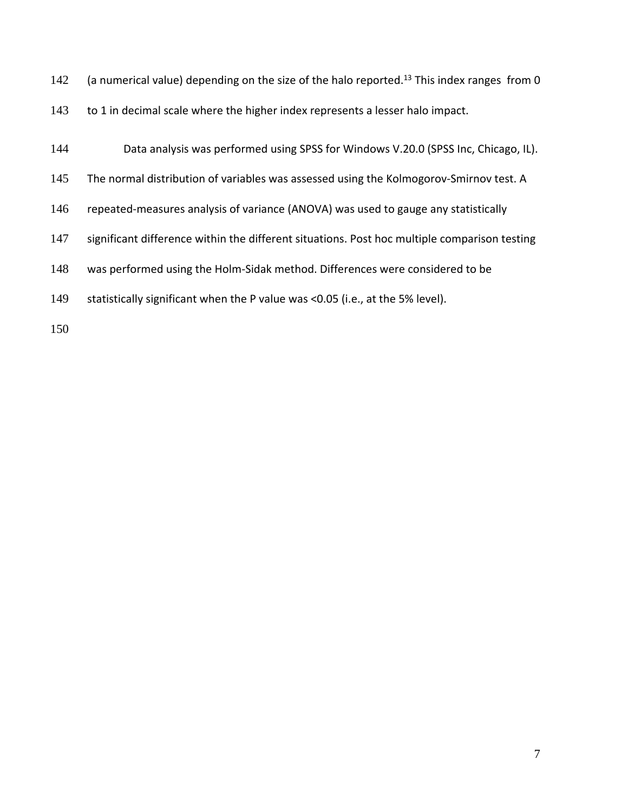- 142 (a numerical value) depending on the size of the halo reported.<sup>13</sup> This index ranges from 0
- 143 to 1 in decimal scale where the higher index represents a lesser halo impact.
- Data analysis was performed using SPSS for Windows V.20.0 (SPSS Inc, Chicago, IL).
- The normal distribution of variables was assessed using the Kolmogorov-Smirnov test. A
- repeated-measures analysis of variance (ANOVA) was used to gauge any statistically
- 147 significant difference within the different situations. Post hoc multiple comparison testing
- was performed using the Holm-Sidak method. Differences were considered to be
- statistically significant when the P value was <0.05 (i.e., at the 5% level).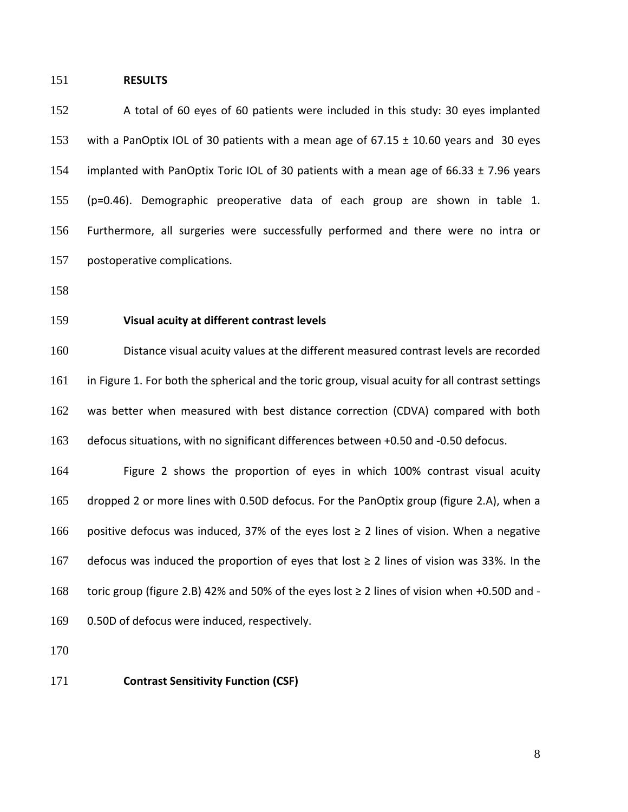#### **RESULTS**

 A total of 60 eyes of 60 patients were included in this study: 30 eyes implanted with a PanOptix IOL of 30 patients with a mean age of 67.15 ± 10.60 years and 30 eyes implanted with PanOptix Toric IOL of 30 patients with a mean age of 66.33 ± 7.96 years (p=0.46). Demographic preoperative data of each group are shown in table 1. Furthermore, all surgeries were successfully performed and there were no intra or postoperative complications.

## **Visual acuity at different contrast levels**

 Distance visual acuity values at the different measured contrast levels are recorded in Figure 1. For both the spherical and the toric group, visual acuity for all contrast settings was better when measured with best distance correction (CDVA) compared with both defocus situations, with no significant differences between +0.50 and -0.50 defocus.

 Figure 2 shows the proportion of eyes in which 100% contrast visual acuity dropped 2 or more lines with 0.50D defocus. For the PanOptix group (figure 2.A), when a 166 positive defocus was induced, 37% of the eyes lost ≥ 2 lines of vision. When a negative 167 defocus was induced the proportion of eyes that lost  $\geq$  2 lines of vision was 33%. In the toric group (figure 2.B) 42% and 50% of the eyes lost ≥ 2 lines of vision when +0.50D and - 0.50D of defocus were induced, respectively.

#### **Contrast Sensitivity Function (CSF)**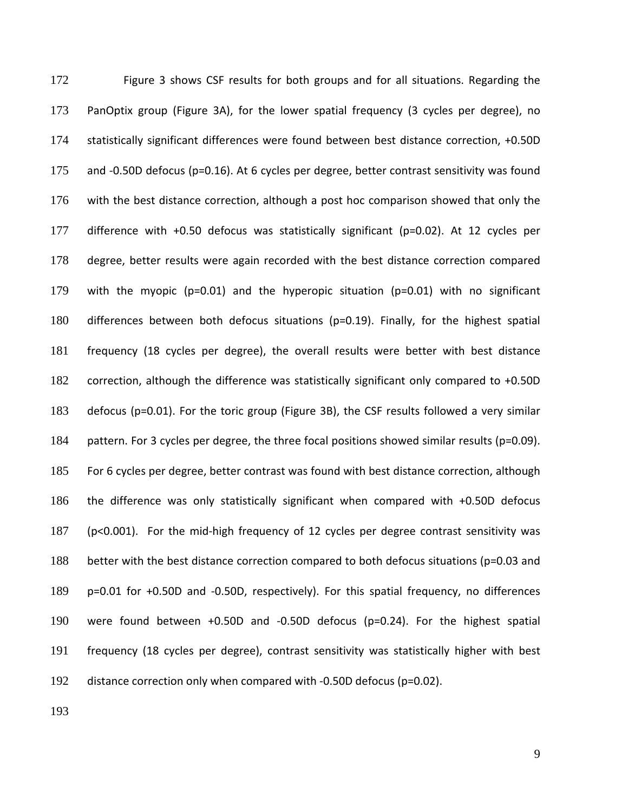Figure 3 shows CSF results for both groups and for all situations. Regarding the PanOptix group (Figure 3A), for the lower spatial frequency (3 cycles per degree), no statistically significant differences were found between best distance correction, +0.50D and -0.50D defocus (p=0.16). At 6 cycles per degree, better contrast sensitivity was found with the best distance correction, although a post hoc comparison showed that only the difference with +0.50 defocus was statistically significant (p=0.02). At 12 cycles per degree, better results were again recorded with the best distance correction compared with the myopic (p=0.01) and the hyperopic situation (p=0.01) with no significant differences between both defocus situations (p=0.19). Finally, for the highest spatial frequency (18 cycles per degree), the overall results were better with best distance 182 correction, although the difference was statistically significant only compared to +0.50D defocus (p=0.01). For the toric group (Figure 3B), the CSF results followed a very similar 184 pattern. For 3 cycles per degree, the three focal positions showed similar results (p=0.09). For 6 cycles per degree, better contrast was found with best distance correction, although the difference was only statistically significant when compared with +0.50D defocus (p<0.001). For the mid-high frequency of 12 cycles per degree contrast sensitivity was better with the best distance correction compared to both defocus situations (p=0.03 and p=0.01 for +0.50D and -0.50D, respectively). For this spatial frequency, no differences were found between +0.50D and -0.50D defocus (p=0.24). For the highest spatial frequency (18 cycles per degree), contrast sensitivity was statistically higher with best distance correction only when compared with -0.50D defocus (p=0.02).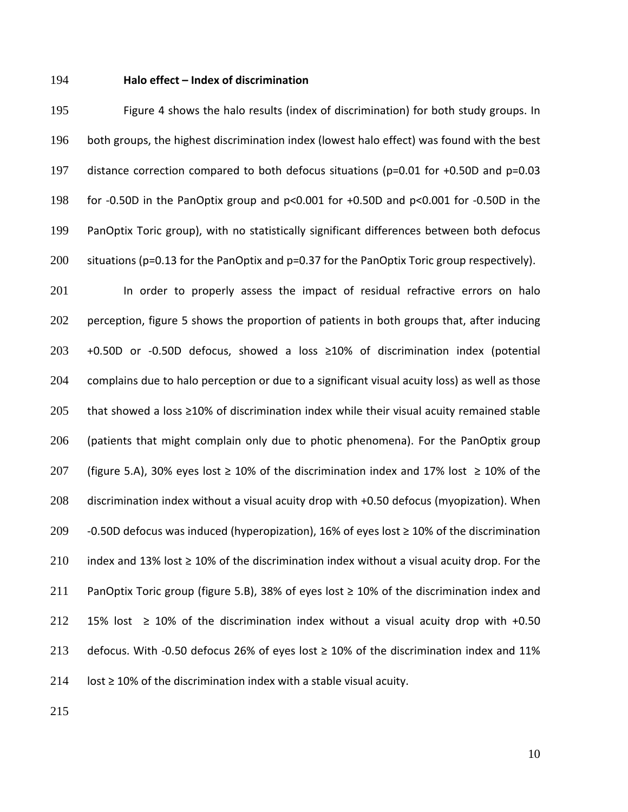#### **Halo effect – Index of discrimination**

 Figure 4 shows the halo results (index of discrimination) for both study groups. In both groups, the highest discrimination index (lowest halo effect) was found with the best distance correction compared to both defocus situations (p=0.01 for +0.50D and p=0.03 for -0.50D in the PanOptix group and p<0.001 for +0.50D and p<0.001 for -0.50D in the PanOptix Toric group), with no statistically significant differences between both defocus situations (p=0.13 for the PanOptix and p=0.37 for the PanOptix Toric group respectively).

201 In order to properly assess the impact of residual refractive errors on halo 202 perception, figure 5 shows the proportion of patients in both groups that, after inducing +0.50D or -0.50D defocus, showed a loss ≥10% of discrimination index (potential complains due to halo perception or due to a significant visual acuity loss) as well as those that showed a loss ≥10% of discrimination index while their visual acuity remained stable (patients that might complain only due to photic phenomena). For the PanOptix group 207 (figure 5.A), 30% eyes lost  $\geq$  10% of the discrimination index and 17% lost  $\geq$  10% of the discrimination index without a visual acuity drop with +0.50 defocus (myopization). When 209 -0.50D defocus was induced (hyperopization), 16% of eyes lost  $\geq$  10% of the discrimination 210 index and 13% lost  $\geq$  10% of the discrimination index without a visual acuity drop. For the PanOptix Toric group (figure 5.B), 38% of eyes lost ≥ 10% of the discrimination index and 212 15% lost  $\geq$  10% of the discrimination index without a visual acuity drop with +0.50 213 defocus. With -0.50 defocus 26% of eyes lost  $\geq$  10% of the discrimination index and 11% 214 lost  $\geq$  10% of the discrimination index with a stable visual acuity.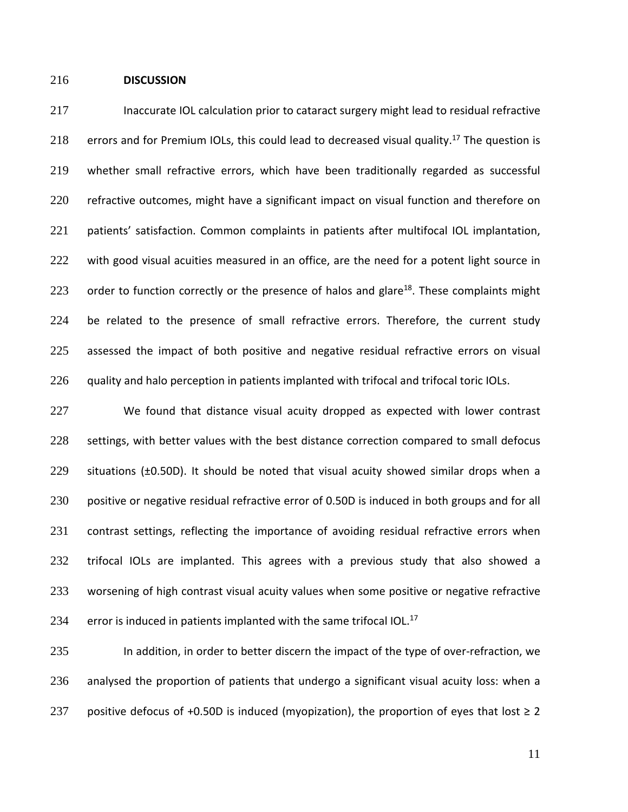### 216 **DISCUSSION**

217 Inaccurate IOL calculation prior to cataract surgery might lead to residual refractive 218 errors and for Premium IOLs, this could lead to decreased visual quality.<sup>17</sup> The question is 219 whether small refractive errors, which have been traditionally regarded as successful 220 refractive outcomes, might have a significant impact on visual function and therefore on 221 patients' satisfaction. Common complaints in patients after multifocal IOL implantation, 222 with good visual acuities measured in an office, are the need for a potent light source in 223 order to function correctly or the presence of halos and glare<sup>18</sup>. These complaints might 224 be related to the presence of small refractive errors. Therefore, the current study 225 assessed the impact of both positive and negative residual refractive errors on visual 226 guality and halo perception in patients implanted with trifocal and trifocal toric IOLs.

227 We found that distance visual acuity dropped as expected with lower contrast 228 settings, with better values with the best distance correction compared to small defocus 229 situations (±0.50D). It should be noted that visual acuity showed similar drops when a 230 positive or negative residual refractive error of 0.50D is induced in both groups and for all 231 contrast settings, reflecting the importance of avoiding residual refractive errors when 232 trifocal IOLs are implanted. This agrees with a previous study that also showed a 233 worsening of high contrast visual acuity values when some positive or negative refractive 234 error is induced in patients implanted with the same trifocal IOL. $^{17}$ 

235 In addition, in order to better discern the impact of the type of over-refraction, we 236 analysed the proportion of patients that undergo a significant visual acuity loss: when a 237 positive defocus of +0.50D is induced (myopization), the proportion of eyes that lost  $\geq 2$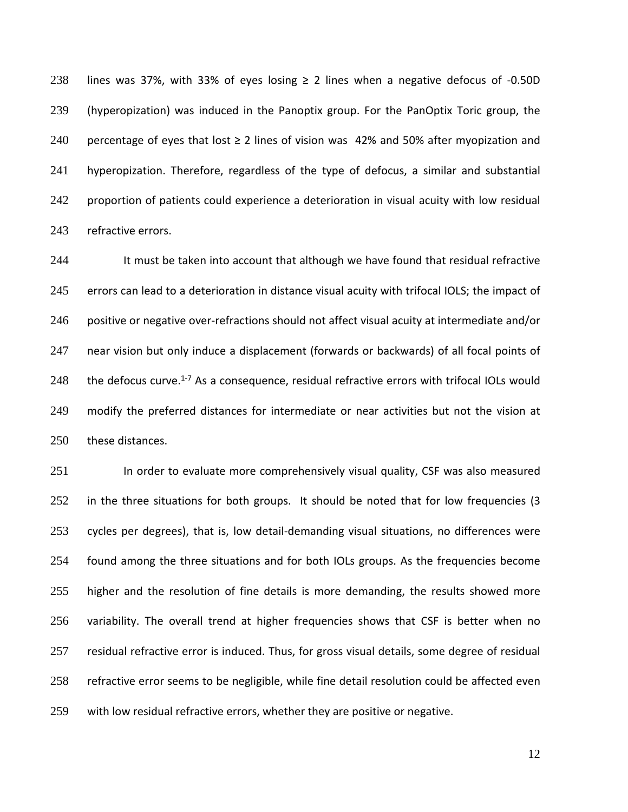238 lines was 37%, with 33% of eyes losing  $\geq$  2 lines when a negative defocus of -0.50D (hyperopization) was induced in the Panoptix group. For the PanOptix Toric group, the 240 percentage of eyes that lost  $\geq$  2 lines of vision was 42% and 50% after myopization and hyperopization. Therefore, regardless of the type of defocus, a similar and substantial proportion of patients could experience a deterioration in visual acuity with low residual refractive errors.

244 It must be taken into account that although we have found that residual refractive 245 errors can lead to a deterioration in distance visual acuity with trifocal IOLS; the impact of 246 positive or negative over-refractions should not affect visual acuity at intermediate and/or near vision but only induce a displacement (forwards or backwards) of all focal points of  $\phantom{1}$  the defocus curve.<sup>1-7</sup> As a consequence, residual refractive errors with trifocal IOLs would modify the preferred distances for intermediate or near activities but not the vision at these distances.

 In order to evaluate more comprehensively visual quality, CSF was also measured 252 in the three situations for both groups. It should be noted that for low frequencies (3 cycles per degrees), that is, low detail-demanding visual situations, no differences were found among the three situations and for both IOLs groups. As the frequencies become 255 higher and the resolution of fine details is more demanding, the results showed more variability. The overall trend at higher frequencies shows that CSF is better when no residual refractive error is induced. Thus, for gross visual details, some degree of residual refractive error seems to be negligible, while fine detail resolution could be affected even with low residual refractive errors, whether they are positive or negative.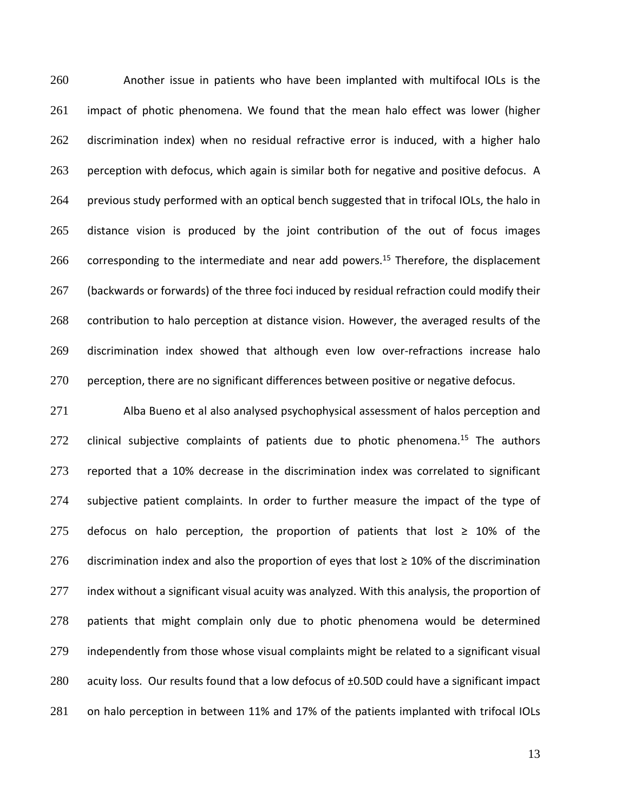Another issue in patients who have been implanted with multifocal IOLs is the impact of photic phenomena. We found that the mean halo effect was lower (higher discrimination index) when no residual refractive error is induced, with a higher halo perception with defocus, which again is similar both for negative and positive defocus. A previous study performed with an optical bench suggested that in trifocal IOLs, the halo in distance vision is produced by the joint contribution of the out of focus images corresponding to the intermediate and near add powers.<sup>15</sup> Therefore, the displacement 267 (backwards or forwards) of the three foci induced by residual refraction could modify their 268 contribution to halo perception at distance vision. However, the averaged results of the discrimination index showed that although even low over-refractions increase halo perception, there are no significant differences between positive or negative defocus.

 Alba Bueno et al also analysed psychophysical assessment of halos perception and clinical subjective complaints of patients due to photic phenomena.<sup>15</sup> The authors reported that a 10% decrease in the discrimination index was correlated to significant subjective patient complaints. In order to further measure the impact of the type of 275 defocus on halo perception, the proportion of patients that lost  $\geq$  10% of the 276 discrimination index and also the proportion of eyes that lost  $\geq$  10% of the discrimination 277 index without a significant visual acuity was analyzed. With this analysis, the proportion of patients that might complain only due to photic phenomena would be determined independently from those whose visual complaints might be related to a significant visual 280 acuity loss. Our results found that a low defocus of ±0.50D could have a significant impact on halo perception in between 11% and 17% of the patients implanted with trifocal IOLs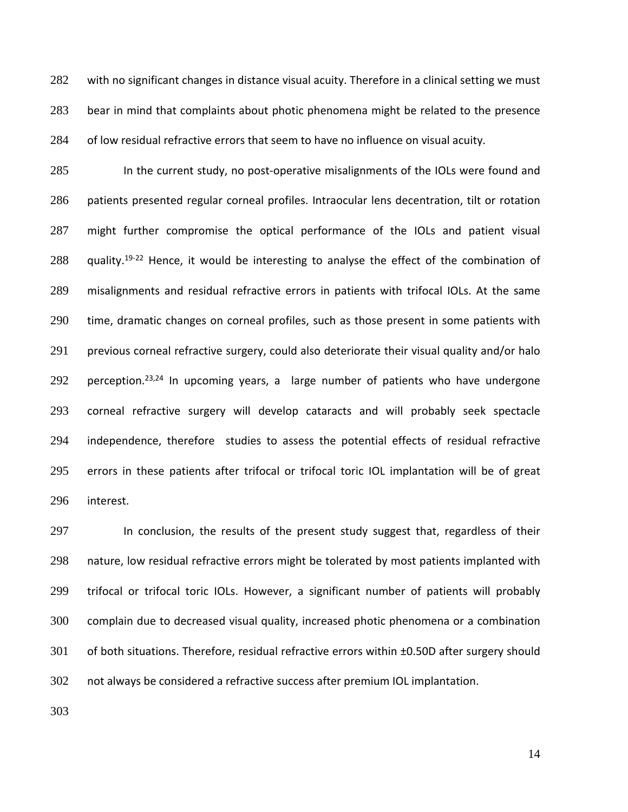282 with no significant changes in distance visual acuity. Therefore in a clinical setting we must bear in mind that complaints about photic phenomena might be related to the presence of low residual refractive errors that seem to have no influence on visual acuity.

 In the current study, no post-operative misalignments of the IOLs were found and patients presented regular corneal profiles. Intraocular lens decentration, tilt or rotation might further compromise the optical performance of the IOLs and patient visual 288 quality.<sup>19-22</sup> Hence, it would be interesting to analyse the effect of the combination of misalignments and residual refractive errors in patients with trifocal IOLs. At the same time, dramatic changes on corneal profiles, such as those present in some patients with previous corneal refractive surgery, could also deteriorate their visual quality and/or halo 292 perception.<sup>23,24</sup> In upcoming years, a large number of patients who have undergone corneal refractive surgery will develop cataracts and will probably seek spectacle independence, therefore studies to assess the potential effects of residual refractive errors in these patients after trifocal or trifocal toric IOL implantation will be of great interest.

297 In conclusion, the results of the present study suggest that, regardless of their nature, low residual refractive errors might be tolerated by most patients implanted with trifocal or trifocal toric IOLs. However, a significant number of patients will probably complain due to decreased visual quality, increased photic phenomena or a combination of both situations. Therefore, residual refractive errors within ±0.50D after surgery should not always be considered a refractive success after premium IOL implantation.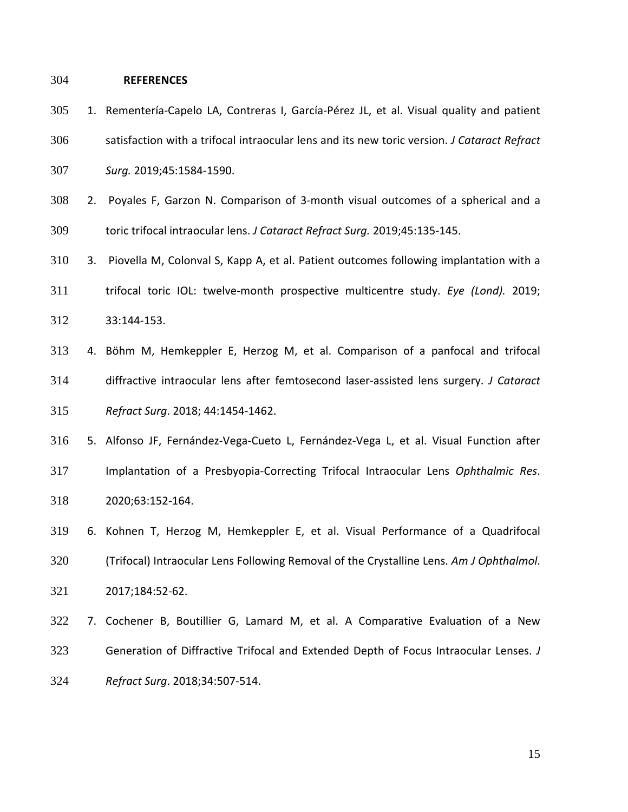### **REFERENCES**

- 1. Rementería-Capelo LA, Contreras I, García-Pérez JL, et al. Visual quality and patient satisfaction with a trifocal intraocular lens and its new toric version. *J Cataract Refract Surg.* 2019;45:1584-1590.
- 2. Poyales F, Garzon N. Comparison of 3-month visual outcomes of a spherical and a toric trifocal intraocular lens. *J Cataract Refract Surg.* 2019;45:135-145.
- 3. Piovella M, Colonval S, Kapp A, et al. Patient outcomes following implantation with a trifocal toric IOL: twelve-month prospective multicentre study. *Eye (Lond).* 2019; 33:144-153.
- 4. Böhm M, Hemkeppler E, Herzog M, et al. Comparison of a panfocal and trifocal diffractive intraocular lens after femtosecond laser-assisted lens surgery. *J Cataract Refract Surg*. 2018; 44:1454-1462.
- 5. Alfonso JF, Fernández-Vega-Cueto L, Fernández-Vega L, et al. Visual Function after Implantation of a Presbyopia-Correcting Trifocal Intraocular Lens *Ophthalmic Res*. 2020;63:152-164.
- 6. Kohnen T, Herzog M, Hemkeppler E, et al. Visual Performance of a Quadrifocal (Trifocal) Intraocular Lens Following Removal of the Crystalline Lens. *Am J Ophthalmol*. 2017;184:52-62.
- 7. Cochener B, Boutillier G, Lamard M, et al. A Comparative Evaluation of a New Generation of Diffractive Trifocal and Extended Depth of Focus Intraocular Lenses. *J Refract Surg*. 2018;34:507-514.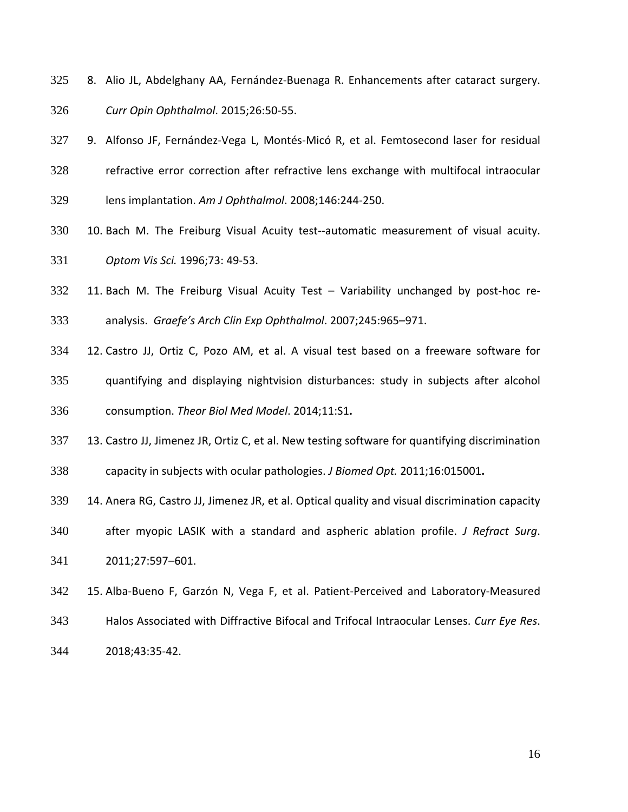- 8. Alio JL, Abdelghany AA, Fernández-Buenaga R. Enhancements after cataract surgery.
- *Curr Opin Ophthalmol*. 2015;26:50-55.
- 9. Alfonso JF, Fernández-Vega L, Montés-Micó R, et al. Femtosecond laser for residual
- refractive error correction after refractive lens exchange with multifocal intraocular
- lens implantation. *Am J Ophthalmol*. 2008;146:244-250.
- 10. Bach M. The Freiburg Visual Acuity test--automatic measurement of visual acuity. *Optom Vis Sci.* 1996;73: 49-53.
- 11. Bach M. The Freiburg Visual Acuity Test Variability unchanged by post-hoc re-analysis. *Graefe's Arch Clin Exp Ophthalmol*. 2007;245:965–971.
- 12. Castro JJ, Ortiz C, Pozo AM, et al. A visual test based on a freeware software for
- quantifying and displaying nightvision disturbances: study in subjects after alcohol consumption. *Theor Biol Med Model*. 2014;11:S1**.**
- 13. Castro JJ, Jimenez JR, Ortiz C, et al. New testing software for quantifying discrimination
- capacity in subjects with ocular pathologies. *J Biomed Opt.* 2011;16:015001**.**
- 14. Anera RG, Castro JJ, Jimenez JR, et al. Optical quality and visual discrimination capacity
- after myopic LASIK with a standard and aspheric ablation profile. *J Refract Surg*.
- 2011;27:597–601.
- 15. Alba-Bueno F, Garzón N, Vega F, et al. Patient-Perceived and Laboratory-Measured
- Halos Associated with Diffractive Bifocal and Trifocal Intraocular Lenses. *Curr Eye Res*.
- 2018;43:35-42.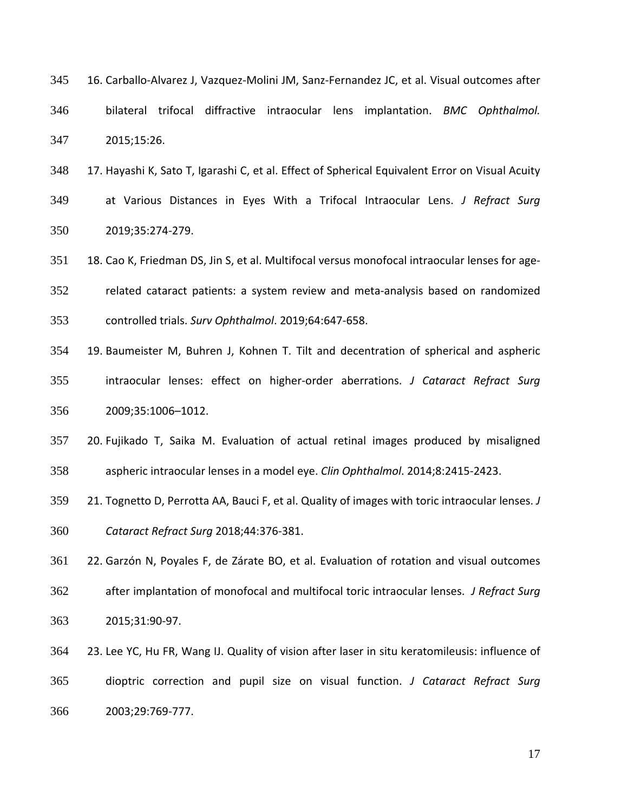| 345 | 16. Carballo-Alvarez J, Vazquez-Molini JM, Sanz-Fernandez JC, et al. Visual outcomes after |  |  |  |  |                                                                               |  |  |
|-----|--------------------------------------------------------------------------------------------|--|--|--|--|-------------------------------------------------------------------------------|--|--|
| 346 |                                                                                            |  |  |  |  | bilateral trifocal diffractive intraocular lens implantation. BMC Ophthalmol. |  |  |
| 347 | 2015;15:26.                                                                                |  |  |  |  |                                                                               |  |  |

- 17. Hayashi K, Sato T, Igarashi C, et al. Effect of Spherical Equivalent Error on Visual Acuity at Various Distances in Eyes With a Trifocal Intraocular Lens. *J Refract Surg* 2019;35:274-279.
- 351 18. Cao K, Friedman DS, Jin S, et al. Multifocal versus monofocal intraocular lenses for age- related cataract patients: a system review and meta-analysis based on randomized controlled trials. *Surv Ophthalmol*. 2019;64:647-658.
- 19. Baumeister M, Buhren J, Kohnen T. Tilt and decentration of spherical and aspheric intraocular lenses: effect on higher-order aberrations. *J Cataract Refract Surg*
- 2009;35:1006–1012.
- 20. Fujikado T, Saika M. Evaluation of actual retinal images produced by misaligned aspheric intraocular lenses in a model eye. *Clin Ophthalmol*. 2014;8:2415-2423.
- 21. Tognetto D, Perrotta AA, Bauci F, et al. Quality of images with toric intraocular lenses. *J*
- *Cataract Refract Surg* 2018;44:376-381.
- 22. Garzón N, Poyales F, de Zárate BO, et al. Evaluation of rotation and visual outcomes after implantation of monofocal and multifocal toric intraocular lenses. *J Refract Surg* 2015;31:90-97.
- 23. Lee YC, Hu FR, Wang IJ. Quality of vision after laser in situ keratomileusis: influence of dioptric correction and pupil size on visual function. *J Cataract Refract Surg* 2003;29:769-777.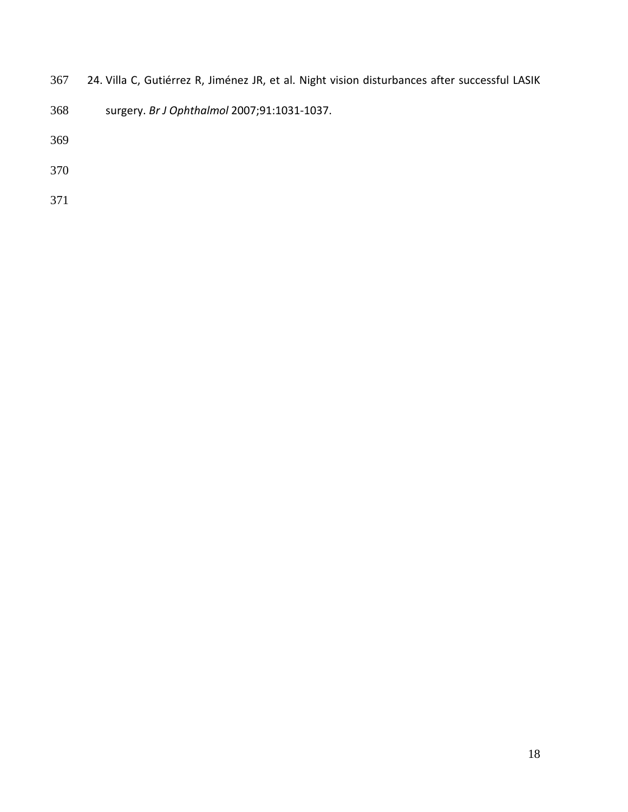- 24. Villa C, Gutiérrez R, Jiménez JR, et al. Night vision disturbances after successful LASIK
- surgery. *Br J Ophthalmol* 2007;91:1031-1037.

- 
-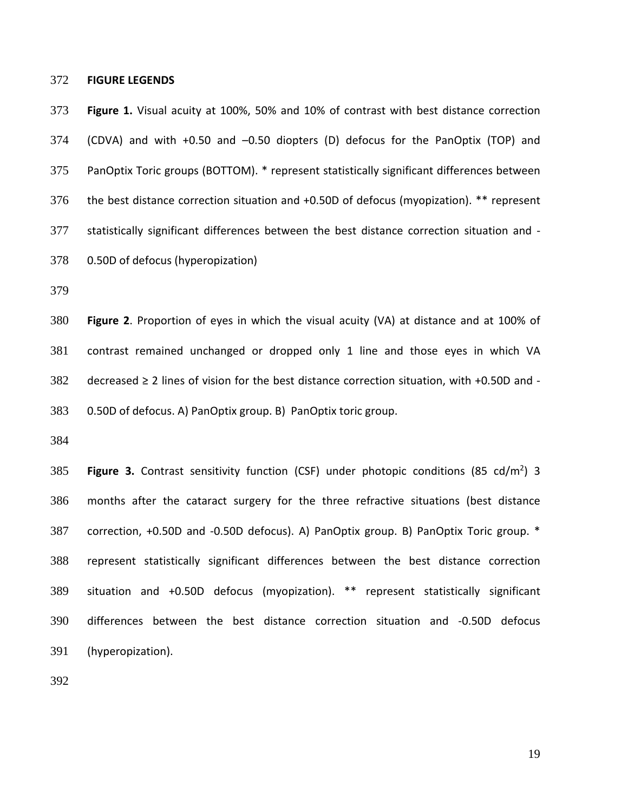#### **FIGURE LEGENDS**

 **Figure 1.** Visual acuity at 100%, 50% and 10% of contrast with best distance correction (CDVA) and with +0.50 and –0.50 diopters (D) defocus for the PanOptix (TOP) and PanOptix Toric groups (BOTTOM). \* represent statistically significant differences between the best distance correction situation and +0.50D of defocus (myopization). \*\* represent statistically significant differences between the best distance correction situation and - 0.50D of defocus (hyperopization)

 **Figure 2**. Proportion of eyes in which the visual acuity (VA) at distance and at 100% of contrast remained unchanged or dropped only 1 line and those eyes in which VA 382 decreased  $\geq 2$  lines of vision for the best distance correction situation, with +0.50D and -0.50D of defocus. A) PanOptix group. B) PanOptix toric group.

**Figure 3.** Contrast sensitivity function (CSF) under photopic conditions (85 cd/m<sup>2</sup>) 3 months after the cataract surgery for the three refractive situations (best distance correction, +0.50D and -0.50D defocus). A) PanOptix group. B) PanOptix Toric group. \* represent statistically significant differences between the best distance correction situation and +0.50D defocus (myopization). \*\* represent statistically significant differences between the best distance correction situation and -0.50D defocus (hyperopization).